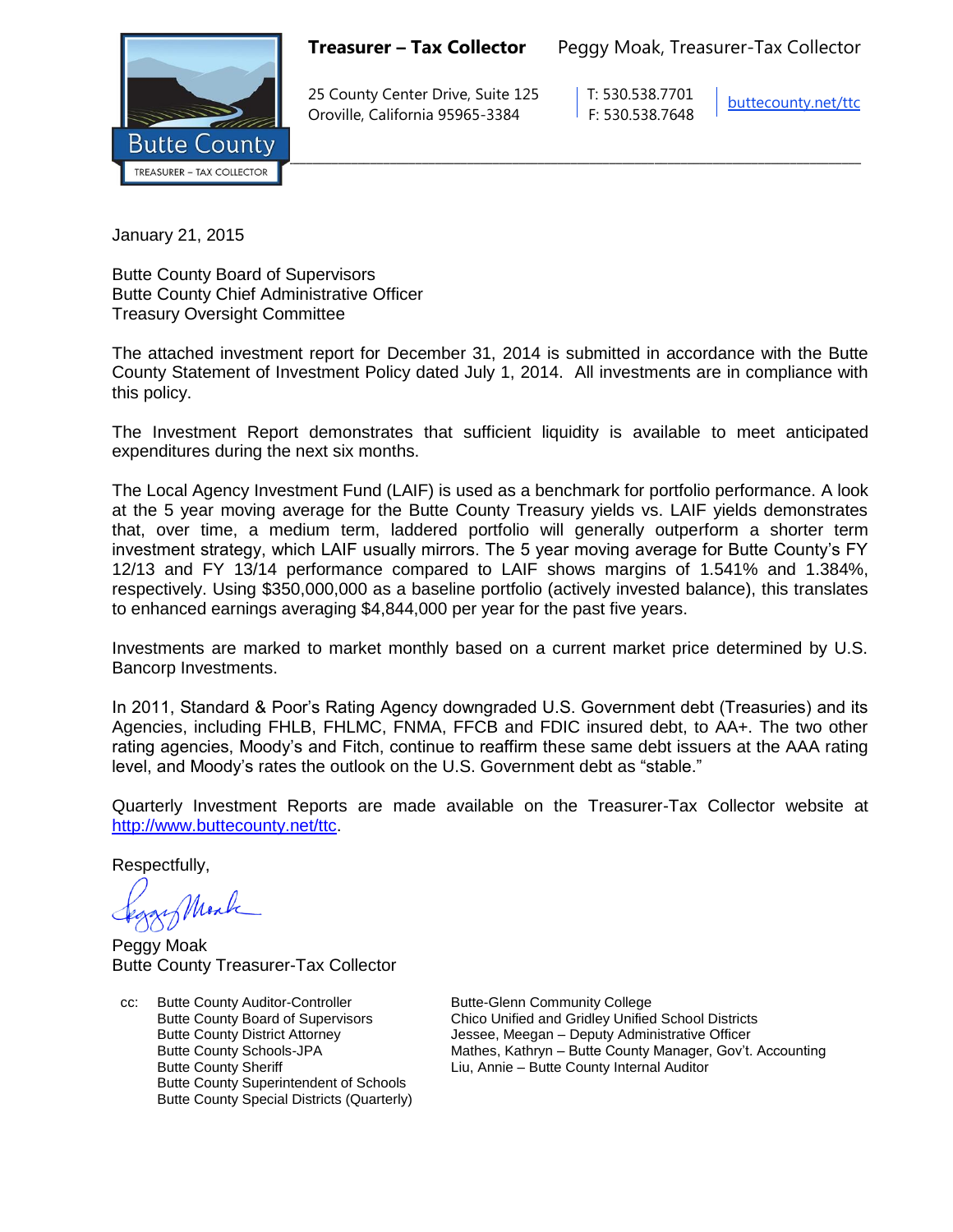**Treasurer – Tax Collector** Peggy Moak, Treasurer-Tax Collector



25 County Center Drive, Suite 125 | T: 530.538.7701 Oroville, California 95965-3384 F: 530.538.7648

buttecounty.net/ttc

January 21, 2015

Butte County Board of Supervisors Butte County Chief Administrative Officer Treasury Oversight Committee

The attached investment report for December 31, 2014 is submitted in accordance with the Butte County Statement of Investment Policy dated July 1, 2014. All investments are in compliance with this policy.

The Investment Report demonstrates that sufficient liquidity is available to meet anticipated expenditures during the next six months.

The Local Agency Investment Fund (LAIF) is used as a benchmark for portfolio performance. A look at the 5 year moving average for the Butte County Treasury yields vs. LAIF yields demonstrates that, over time, a medium term, laddered portfolio will generally outperform a shorter term investment strategy, which LAIF usually mirrors. The 5 year moving average for Butte County's FY 12/13 and FY 13/14 performance compared to LAIF shows margins of 1.541% and 1.384%, respectively. Using \$350,000,000 as a baseline portfolio (actively invested balance), this translates to enhanced earnings averaging \$4,844,000 per year for the past five years.

Investments are marked to market monthly based on a current market price determined by U.S. Bancorp Investments.

In 2011, Standard & Poor's Rating Agency downgraded U.S. Government debt (Treasuries) and its Agencies, including FHLB, FHLMC, FNMA, FFCB and FDIC insured debt, to AA+. The two other rating agencies, Moody's and Fitch, continue to reaffirm these same debt issuers at the AAA rating level, and Moody's rates the outlook on the U.S. Government debt as "stable."

Quarterly Investment Reports are made available on the Treasurer-Tax Collector website at *http://www.buttecounty.net/ttc.* 

Respectfully,

Mark

Peggy Moak Butte County Treasurer-Tax Collector

cc: Butte County Auditor-Controller Butte-Glenn Community College Butte County Superintendent of Schools Butte County Special Districts (Quarterly)

Butte County Board of Supervisors Chico Unified and Gridley Unified School Districts Butte County District Attorney Jessee, Meegan – Deputy Administrative Officer Butte County Schools-JPA Mathes, Kathryn – Butte County Manager, Gov't. Accounting Butte County Sheriff **Liu, Annie – Butte County Internal Auditor**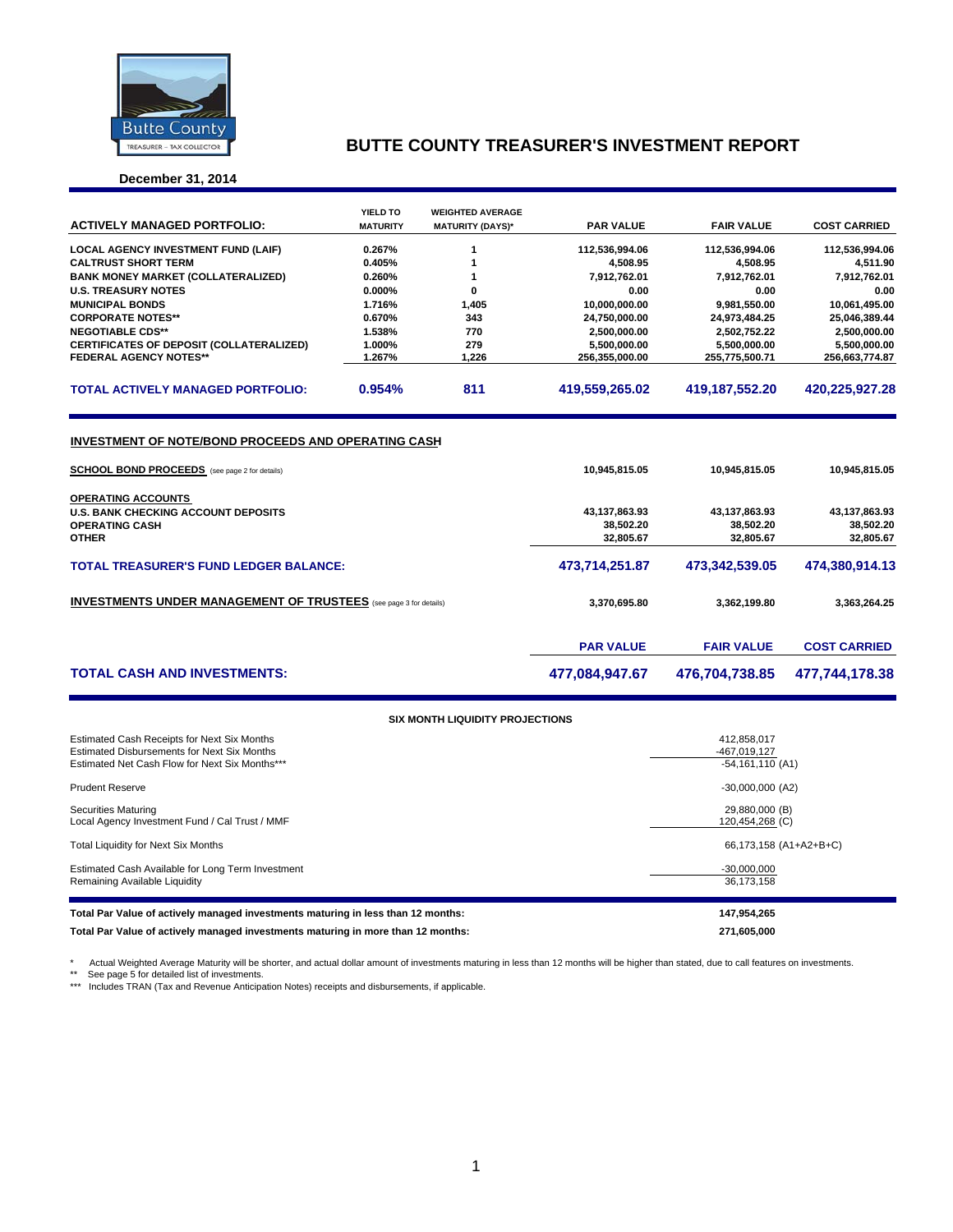

## **BUTTE COUNTY TREASURER'S INVESTMENT REPORT**

### **December 31, 2014**

| <b>ACTIVELY MANAGED PORTFOLIO:</b>                                                                          | <b>YIELD TO</b><br><b>MATURITY</b> | <b>WEIGHTED AVERAGE</b><br><b>MATURITY (DAYS)*</b> | <b>PAR VALUE</b>                 | <b>FAIR VALUE</b> | <b>COST CARRIED</b> |  |  |
|-------------------------------------------------------------------------------------------------------------|------------------------------------|----------------------------------------------------|----------------------------------|-------------------|---------------------|--|--|
|                                                                                                             |                                    |                                                    |                                  |                   |                     |  |  |
| <b>LOCAL AGENCY INVESTMENT FUND (LAIF)</b>                                                                  | 0.267%                             | 1                                                  | 112,536,994.06                   | 112,536,994.06    | 112,536,994.06      |  |  |
| <b>CALTRUST SHORT TERM</b>                                                                                  | 0.405%                             | 1                                                  | 4,508.95                         | 4,508.95          | 4,511.90            |  |  |
| <b>BANK MONEY MARKET (COLLATERALIZED)</b>                                                                   | 0.260%                             | 1                                                  | 7,912,762.01                     | 7,912,762.01      | 7,912,762.01        |  |  |
| <b>U.S. TREASURY NOTES</b>                                                                                  | 0.000%                             | 0                                                  | 0.00                             | 0.00              | 0.00                |  |  |
| <b>MUNICIPAL BONDS</b>                                                                                      | 1.716%                             | 1,405                                              | 10,000,000.00                    | 9,981,550.00      | 10,061,495.00       |  |  |
| <b>CORPORATE NOTES**</b>                                                                                    | 0.670%                             | 343                                                | 24,750,000.00                    | 24,973,484.25     | 25,046,389.44       |  |  |
| <b>NEGOTIABLE CDS**</b>                                                                                     | 1.538%                             | 770                                                | 2,500,000.00                     | 2,502,752.22      | 2,500,000.00        |  |  |
| CERTIFICATES OF DEPOSIT (COLLATERALIZED)                                                                    | 1.000%                             | 279                                                | 5,500,000.00                     | 5,500,000.00      | 5,500,000.00        |  |  |
| <b>FEDERAL AGENCY NOTES**</b>                                                                               | 1.267%                             | 1,226                                              | 256,355,000.00                   | 255,775,500.71    | 256,663,774.87      |  |  |
| <b>TOTAL ACTIVELY MANAGED PORTFOLIO:</b>                                                                    | 0.954%                             | 811                                                | 419,559,265.02                   | 419,187,552.20    | 420,225,927.28      |  |  |
| INVESTMENT OF NOTE/BOND PROCEEDS AND OPERATING CASH<br><b>SCHOOL BOND PROCEEDS</b> (see page 2 for details) |                                    |                                                    | 10,945,815.05                    | 10,945,815.05     | 10,945,815.05       |  |  |
| <b>OPERATING ACCOUNTS</b>                                                                                   |                                    |                                                    |                                  |                   |                     |  |  |
| <b>U.S. BANK CHECKING ACCOUNT DEPOSITS</b>                                                                  |                                    |                                                    | 43, 137, 863. 93                 | 43,137,863.93     | 43,137,863.93       |  |  |
| <b>OPERATING CASH</b>                                                                                       |                                    |                                                    | 38,502.20                        | 38,502.20         | 38,502.20           |  |  |
| <b>OTHER</b>                                                                                                |                                    |                                                    | 32.805.67                        | 32,805.67         | 32.805.67           |  |  |
| <b>TOTAL TREASURER'S FUND LEDGER BALANCE:</b>                                                               |                                    |                                                    | 473,714,251.87                   | 473,342,539.05    | 474,380,914.13      |  |  |
| <b>INVESTMENTS UNDER MANAGEMENT OF TRUSTEES</b> (see page 3 for details)                                    |                                    |                                                    | 3,370,695.80                     | 3,362,199.80      | 3,363,264.25        |  |  |
|                                                                                                             |                                    |                                                    | <b>PAR VALUE</b>                 | <b>FAIR VALUE</b> | <b>COST CARRIED</b> |  |  |
| <b>TOTAL CASH AND INVESTMENTS:</b>                                                                          |                                    |                                                    | 477,084,947.67<br>476,704,738.85 |                   | 477,744,178.38      |  |  |
|                                                                                                             |                                    | <b>SIX MONTH LIQUIDITY PROJECTIONS</b>             |                                  |                   |                     |  |  |
| Estimated Cash Receipts for Next Six Months<br><b>Estimated Disbursements for Next Six Months</b>           |                                    |                                                    | 412.858.017<br>$-467$ 019 127    |                   |                     |  |  |

| LUMINUU OUUT ROOCIDIU TULI VOAL OIA IVIOHIITU      | 712,000,011            |
|----------------------------------------------------|------------------------|
| <b>Estimated Disbursements for Next Six Months</b> | -467,019,127           |
| Estimated Net Cash Flow for Next Six Months***     | $-54,161,110(A1)$      |
| <b>Prudent Reserve</b>                             | $-30,000,000$ (A2)     |
| <b>Securities Maturing</b>                         | 29,880,000 (B)         |
| Local Agency Investment Fund / Cal Trust / MMF     | 120,454,268 (C)        |
| Total Liquidity for Next Six Months                | 66,173,158 (A1+A2+B+C) |
| Estimated Cash Available for Long Term Investment  | $-30,000,000$          |
| Remaining Available Liquidity                      | 36,173,158             |
|                                                    |                        |
|                                                    |                        |

**Total Par Value of actively managed investments maturing in less than 12 months: 147,954,265 Total Par Value of actively managed investments maturing in more than 12 months: 271,605,000**

\* Actual Weighted Average Maturity will be shorter, and actual dollar amount of investments maturing in less than 12 months will be higher than stated, due to call features on investments.<br>\*\* See page 5 for detailed list o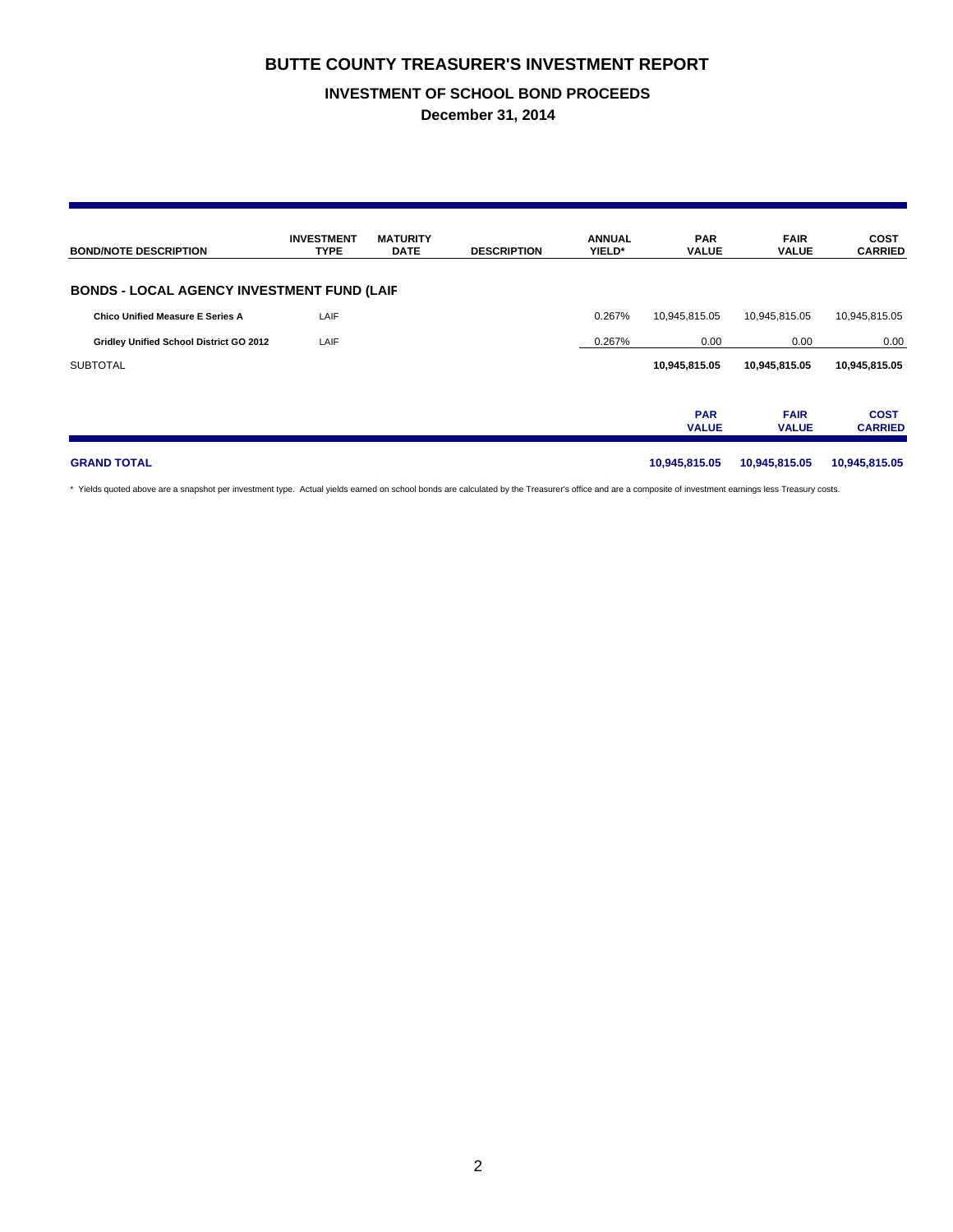## **BUTTE COUNTY TREASURER'S INVESTMENT REPORT**

## **INVESTMENT OF SCHOOL BOND PROCEEDS**

**December 31, 2014**

| <b>BOND/NOTE DESCRIPTION</b>                      | <b>INVESTMENT</b><br><b>TYPE</b> | <b>MATURITY</b><br><b>DATE</b> | <b>DESCRIPTION</b> | <b>ANNUAL</b><br>YIELD* | <b>PAR</b><br><b>VALUE</b> | <b>FAIR</b><br><b>VALUE</b> | <b>COST</b><br><b>CARRIED</b> |
|---------------------------------------------------|----------------------------------|--------------------------------|--------------------|-------------------------|----------------------------|-----------------------------|-------------------------------|
| <b>BONDS - LOCAL AGENCY INVESTMENT FUND (LAIF</b> |                                  |                                |                    |                         |                            |                             |                               |
| <b>Chico Unified Measure E Series A</b>           | LAIF                             |                                |                    | 0.267%                  | 10,945,815.05              | 10,945,815.05               | 10,945,815.05                 |
| Gridley Unified School District GO 2012           | LAIF                             |                                |                    | 0.267%                  | 0.00                       | 0.00                        | 0.00                          |
| <b>SUBTOTAL</b>                                   |                                  |                                |                    |                         | 10,945,815.05              | 10,945,815.05               | 10,945,815.05                 |
|                                                   |                                  |                                |                    |                         | <b>PAR</b><br><b>VALUE</b> | <b>FAIR</b><br><b>VALUE</b> | <b>COST</b><br><b>CARRIED</b> |
| <b>GRAND TOTAL</b>                                |                                  |                                |                    |                         | 10,945,815.05              | 10,945,815.05               | 10,945,815.05                 |

\* Yields quoted above are a snapshot per investment type. Actual yields earned on school bonds are calculated by the Treasurer's office and are a composite of investment earnings less Treasury costs.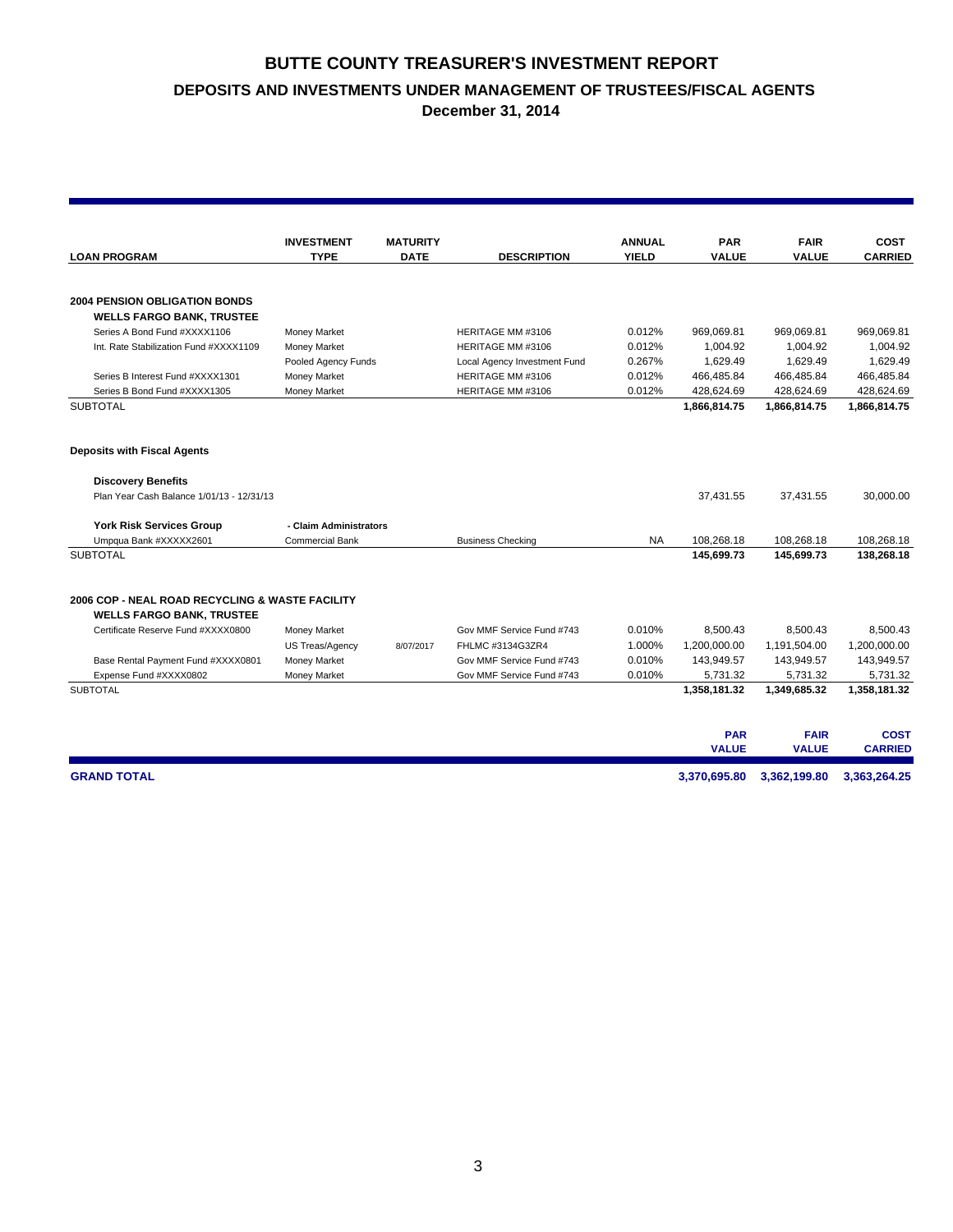# **BUTTE COUNTY TREASURER'S INVESTMENT REPORT DEPOSITS AND INVESTMENTS UNDER MANAGEMENT OF TRUSTEES/FISCAL AGENTS**

**December 31, 2014**

|                                                 | <b>INVESTMENT</b>      | <b>MATURITY</b> |                              | <b>ANNUAL</b> | <b>PAR</b>                 | <b>FAIR</b>                 | <b>COST</b>                   |
|-------------------------------------------------|------------------------|-----------------|------------------------------|---------------|----------------------------|-----------------------------|-------------------------------|
| <b>LOAN PROGRAM</b>                             | <b>TYPE</b>            | <b>DATE</b>     | <b>DESCRIPTION</b>           | <b>YIELD</b>  | <b>VALUE</b>               | <b>VALUE</b>                | <b>CARRIED</b>                |
|                                                 |                        |                 |                              |               |                            |                             |                               |
| <b>2004 PENSION OBLIGATION BONDS</b>            |                        |                 |                              |               |                            |                             |                               |
| <b>WELLS FARGO BANK, TRUSTEE</b>                |                        |                 |                              |               |                            |                             |                               |
| Series A Bond Fund #XXXX1106                    | Money Market           |                 | HERITAGE MM #3106            | 0.012%        | 969,069.81                 | 969,069.81                  | 969,069.81                    |
| Int. Rate Stabilization Fund #XXXX1109          | Money Market           |                 | HERITAGE MM #3106            | 0.012%        | 1,004.92                   | 1,004.92                    | 1,004.92                      |
|                                                 | Pooled Agency Funds    |                 | Local Agency Investment Fund | 0.267%        | 1,629.49                   | 1,629.49                    | 1,629.49                      |
| Series B Interest Fund #XXXX1301                | Money Market           |                 | HERITAGE MM #3106            | 0.012%        | 466,485.84                 | 466,485.84                  | 466,485.84                    |
| Series B Bond Fund #XXXX1305                    | Money Market           |                 | HERITAGE MM #3106            | 0.012%        | 428,624.69                 | 428,624.69                  | 428,624.69                    |
| <b>SUBTOTAL</b>                                 |                        |                 |                              |               | 1,866,814.75               | 1,866,814.75                | 1,866,814.75                  |
| <b>Deposits with Fiscal Agents</b>              |                        |                 |                              |               |                            |                             |                               |
| <b>Discovery Benefits</b>                       |                        |                 |                              |               |                            |                             |                               |
| Plan Year Cash Balance 1/01/13 - 12/31/13       |                        |                 |                              |               | 37,431.55                  | 37,431.55                   | 30,000.00                     |
| <b>York Risk Services Group</b>                 | - Claim Administrators |                 |                              |               |                            |                             |                               |
| Umpqua Bank #XXXXX2601                          | <b>Commercial Bank</b> |                 | <b>Business Checking</b>     | <b>NA</b>     | 108,268.18                 | 108,268.18                  | 108,268.18                    |
| <b>SUBTOTAL</b>                                 |                        |                 |                              |               | 145.699.73                 | 145,699.73                  | 138,268.18                    |
| 2006 COP - NEAL ROAD RECYCLING & WASTE FACILITY |                        |                 |                              |               |                            |                             |                               |
| <b>WELLS FARGO BANK, TRUSTEE</b>                |                        |                 |                              |               |                            |                             |                               |
| Certificate Reserve Fund #XXXX0800              | Money Market           |                 | Gov MMF Service Fund #743    | 0.010%        | 8,500.43                   | 8,500.43                    | 8,500.43                      |
|                                                 | US Treas/Agency        | 8/07/2017       | FHLMC #3134G3ZR4             | 1.000%        | 1,200,000.00               | 1,191,504.00                | 1,200,000.00                  |
| Base Rental Payment Fund #XXXX0801              | Money Market           |                 | Gov MMF Service Fund #743    | 0.010%        | 143,949.57                 | 143,949.57                  | 143,949.57                    |
| Expense Fund #XXXX0802                          | <b>Money Market</b>    |                 | Gov MMF Service Fund #743    | 0.010%        | 5,731.32                   | 5,731.32                    | 5,731.32                      |
| <b>SUBTOTAL</b>                                 |                        |                 |                              |               | 1,358,181.32               | 1,349,685.32                | 1,358,181.32                  |
|                                                 |                        |                 |                              |               |                            |                             |                               |
|                                                 |                        |                 |                              |               | <b>PAR</b><br><b>VALUE</b> | <b>FAIR</b><br><b>VALUE</b> | <b>COST</b><br><b>CARRIED</b> |
| <b>GRAND TOTAL</b>                              |                        |                 |                              |               | 3,370,695.80               | 3,362,199.80                | 3,363,264.25                  |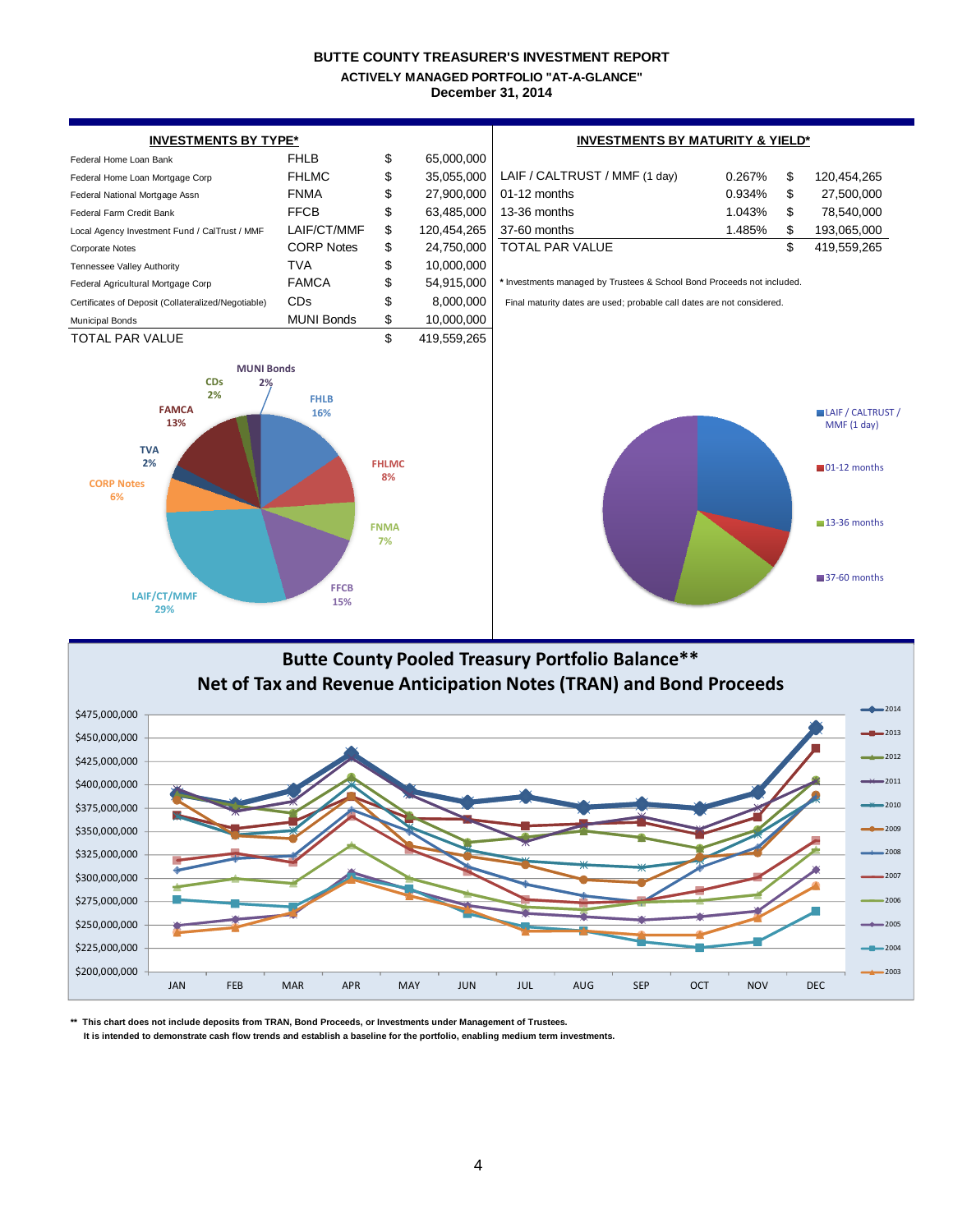#### **BUTTE COUNTY TREASURER'S INVESTMENT REPORT December 31, 2014 ACTIVELY MANAGED PORTFOLIO "AT-A-GLANCE"**



**\*\* This chart does not include deposits from TRAN, Bond Proceeds, or Investments under Management of Trustees.**

\$200,000,000 \$225,000,000 \$250,000,000 \$275,000,000 \$300,000,000 \$325,000,000

 **It is intended to demonstrate cash flow trends and establish a baseline for the portfolio, enabling medium term investments.**

JAN FEB MAR APR MAY JUN JUL AUG SEP OCT NOV DEC

a.